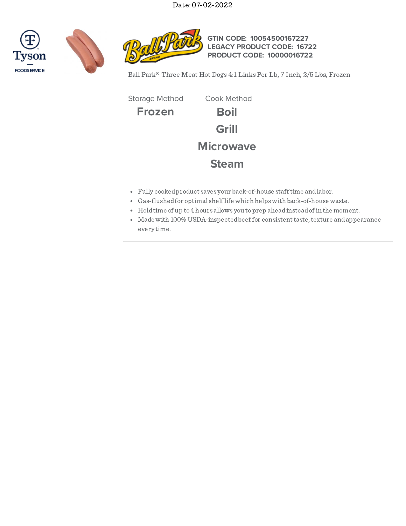





**GTIN CODE: 10054500167227 LEGACY PRODUCT CODE: 16722 PRODUCT CODE: 10000016722**

Ball Park® Three Meat Hot Dogs 4:1 Links Per Lb, 7 Inch, 2/5 Lbs, Frozen

**Frozen Boil Grill Microwave Steam** Storage Method Cook Method

- Fully cookedproduct saves your back-of-house stafftime andlabor.
- Gas-flushedfor optimal shelflife which helpswith back-of-house waste.
- Holdtime of up to4 hours allows you toprep aheadinsteadofin the moment.
- Made with 100% USDA-inspected beef for consistent taste, texture and appearance every time.